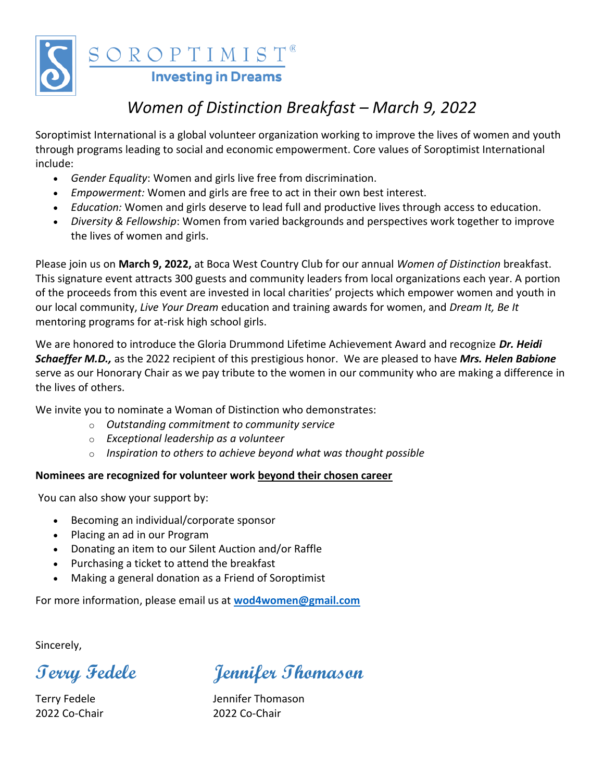

 $\frac{\text{S O R O P T I M I S T}^{\text{®}}}{\text{Investing in Dreams}}$ 

## *Women of Distinction Breakfast – March 9, 2022*

Soroptimist International is a global volunteer organization working to improve the lives of women and youth through programs leading to social and economic empowerment. Core values of Soroptimist International include:

- *Gender Equality*: Women and girls live free from discrimination.
- *Empowerment:* Women and girls are free to act in their own best interest.
- *Education:* Women and girls deserve to lead full and productive lives through access to education.
- *Diversity & Fellowship*: Women from varied backgrounds and perspectives work together to improve the lives of women and girls.

Please join us on **March 9, 2022,** at Boca West Country Club for our annual *Women of Distinction* breakfast. This signature event attracts 300 guests and community leaders from local organizations each year. A portion of the proceeds from this event are invested in local charities' projects which empower women and youth in our local community, *Live Your Dream* education and training awards for women, and *Dream It, Be It* mentoring programs for at-risk high school girls.

We are honored to introduce the Gloria Drummond Lifetime Achievement Award and recognize *Dr. Heidi Schaeffer M.D.,* as the 2022 recipient of this prestigious honor. We are pleased to have *Mrs. Helen Babione* serve as our Honorary Chair as we pay tribute to the women in our community who are making a difference in the lives of others.

We invite you to nominate a Woman of Distinction who demonstrates:

- o *Outstanding commitment to community service*
- o *Exceptional leadership as a volunteer*
- o *Inspiration to others to achieve beyond what was thought possible*

#### **Nominees are recognized for volunteer work beyond their chosen career**

You can also show your support by:

- Becoming an individual/corporate sponsor
- Placing an ad in our Program
- Donating an item to our Silent Auction and/or Raffle
- Purchasing a ticket to attend the breakfast
- Making a general donation as a Friend of Soroptimist

For more information, please email us at **[wod4women@gmail.com](mailto:wod4women@gmail.com)**

Sincerely,

2022 Co-Chair 2022 Co-Chair

**Terry Fedele Jennifer Thomason**

Terry Fedele **Interpreterate Servers** Jennifer Thomason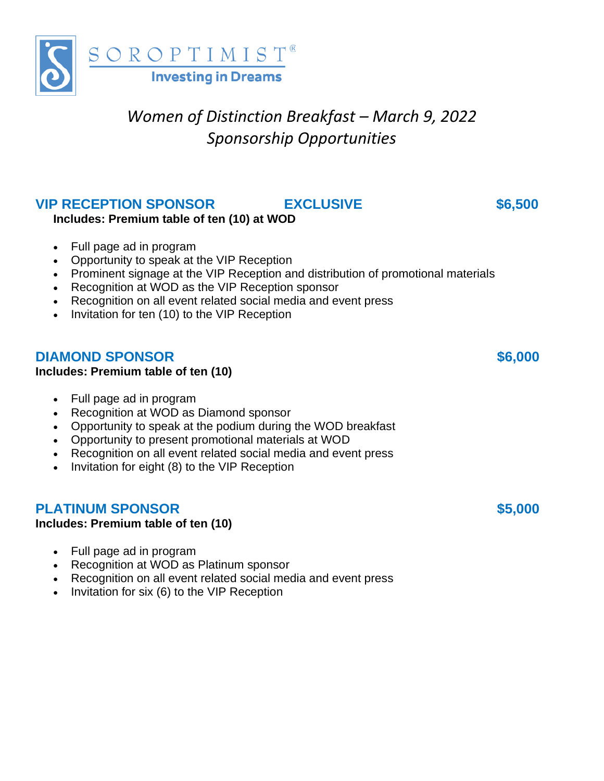

# *Women of Distinction Breakfast – March 9, 2022 Sponsorship Opportunities*

## **VIP RECEPTION SPONSOR EXCLUSIVE \$6,500**

**Includes: Premium table of ten (10) at WOD**

- Full page ad in program
- Opportunity to speak at the VIP Reception
- Prominent signage at the VIP Reception and distribution of promotional materials
- Recognition at WOD as the VIP Reception sponsor
- Recognition on all event related social media and event press
- Invitation for ten (10) to the VIP Reception

### **DIAMOND SPONSOR \$6,000**

#### **Includes: Premium table of ten (10)**

- Full page ad in program
- Recognition at WOD as Diamond sponsor
- Opportunity to speak at the podium during the WOD breakfast
- Opportunity to present promotional materials at WOD
- Recognition on all event related social media and event press
- Invitation for eight (8) to the VIP Reception

## **PLATINUM SPONSOR \$5,000**

#### **Includes: Premium table of ten (10)**

- Full page ad in program
- Recognition at WOD as Platinum sponsor
- Recognition on all event related social media and event press
- Invitation for six (6) to the VIP Reception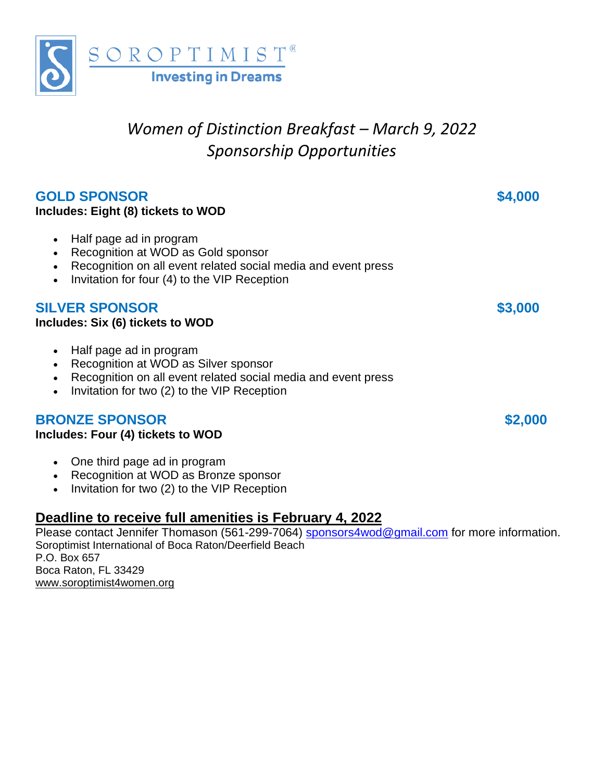

# *Women of Distinction Breakfast – March 9, 2022 Sponsorship Opportunities*

## **GOLD SPONSOR \$4,000**

#### **Includes: Eight (8) tickets to WOD**

- Half page ad in program
- Recognition at WOD as Gold sponsor
- Recognition on all event related social media and event press
- Invitation for four (4) to the VIP Reception

### **SILVER SPONSOR \$3,000**

#### **Includes: Six (6) tickets to WOD**

- Half page ad in program
- Recognition at WOD as Silver sponsor
- Recognition on all event related social media and event press
- Invitation for two (2) to the VIP Reception

## **BRONZE SPONSOR \$2,000**

#### **Includes: Four (4) tickets to WOD**

- One third page ad in program
- Recognition at WOD as Bronze sponsor
- Invitation for two (2) to the VIP Reception

## **Deadline to receive full amenities is February 4, 2022**

Please contact Jennifer Thomason (561-299-7064) [sponsors4wod@gmail.com](mailto:sponsors4wod@gmail.com) for more information. Soroptimist International of Boca Raton/Deerfield Beach P.O. Box 657 Boca Raton, FL 33429 [www.soroptimist4women.org](http://www.soroptimist4women.org/)